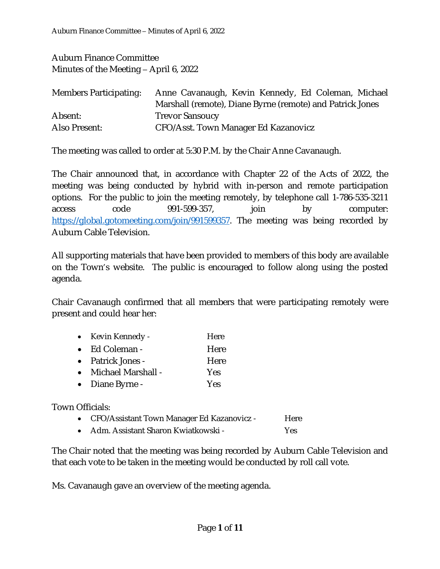Auburn Finance Committee Minutes of the Meeting – April 6, 2022

| <b>Members Participating:</b> | Anne Cavanaugh, Kevin Kennedy, Ed Coleman, Michael        |
|-------------------------------|-----------------------------------------------------------|
|                               | Marshall (remote), Diane Byrne (remote) and Patrick Jones |
| Absent:                       | <b>Trevor Sansoucy</b>                                    |
| Also Present:                 | CFO/Asst. Town Manager Ed Kazanovicz                      |

The meeting was called to order at 5:30 P.M. by the Chair Anne Cavanaugh.

The Chair announced that, in accordance with Chapter 22 of the Acts of 2022, the meeting was being conducted by hybrid with in-person and remote participation options. For the public to join the meeting remotely, by telephone call 1-786-535-3211 access code 991-599-357, ioin by computer: <https://global.gotomeeting.com/join/991599357>. The meeting was being recorded by Auburn Cable Television.

All supporting materials that have been provided to members of this body are available on the Town's website. The public is encouraged to follow along using the posted agenda.

Chair Cavanaugh confirmed that all members that were participating remotely were present and could hear her:

| $\bullet$ | Kevin Kennedy -    | Here |
|-----------|--------------------|------|
| $\bullet$ | Ed Coleman -       | Here |
|           | • Patrick Jones -  | Here |
| $\bullet$ | Michael Marshall - | Yes  |

• Diane Byrne - Yes

Town Officials:

- CFO/Assistant Town Manager Ed Kazanovicz Here
- Adm. Assistant Sharon Kwiatkowski Yes

The Chair noted that the meeting was being recorded by Auburn Cable Television and that each vote to be taken in the meeting would be conducted by roll call vote.

Ms. Cavanaugh gave an overview of the meeting agenda.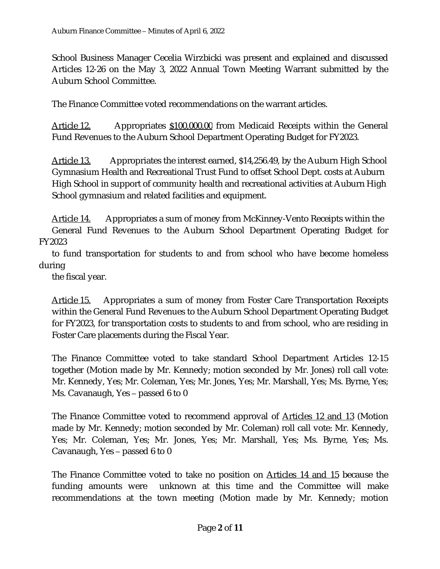School Business Manager Cecelia Wirzbicki was present and explained and discussed Articles 12-26 on the May 3, 2022 Annual Town Meeting Warrant submitted by the Auburn School Committee.

The Finance Committee voted recommendations on the warrant articles.

Article 12. Appropriates \$100,000.00 from Medicaid Receipts within the General Fund Revenues to the Auburn School Department Operating Budget for FY2023.

Article 13. Appropriates the interest earned, \$14,256.49, by the Auburn High School Gymnasium Health and Recreational Trust Fund to offset School Dept. costs at Auburn High School in support of community health and recreational activities at Auburn High School gymnasium and related facilities and equipment.

Article 14. Appropriates a sum of money from McKinney-Vento Receipts within the General Fund Revenues to the Auburn School Department Operating Budget for FY2023

to fund transportation for students to and from school who have become homeless during

the fiscal year.

Article 15. Appropriates a sum of money from Foster Care Transportation Receipts within the General Fund Revenues to the Auburn School Department Operating Budget for FY2023, for transportation costs to students to and from school, who are residing in Foster Care placements during the Fiscal Year.

The Finance Committee voted to take standard School Department Articles 12-15 together (Motion made by Mr. Kennedy; motion seconded by Mr. Jones) roll call vote: Mr. Kennedy, Yes; Mr. Coleman, Yes; Mr. Jones, Yes; Mr. Marshall, Yes; Ms. Byrne, Yes; Ms. Cavanaugh, Yes – passed 6 to 0

The Finance Committee voted to recommend approval of Articles 12 and 13 (Motion made by Mr. Kennedy; motion seconded by Mr. Coleman) roll call vote: Mr. Kennedy, Yes; Mr. Coleman, Yes; Mr. Jones, Yes; Mr. Marshall, Yes; Ms. Byrne, Yes; Ms. Cavanaugh, Yes – passed 6 to 0

The Finance Committee voted to take no position on Articles 14 and 15 because the funding amounts were unknown at this time and the Committee will make recommendations at the town meeting (Motion made by Mr. Kennedy; motion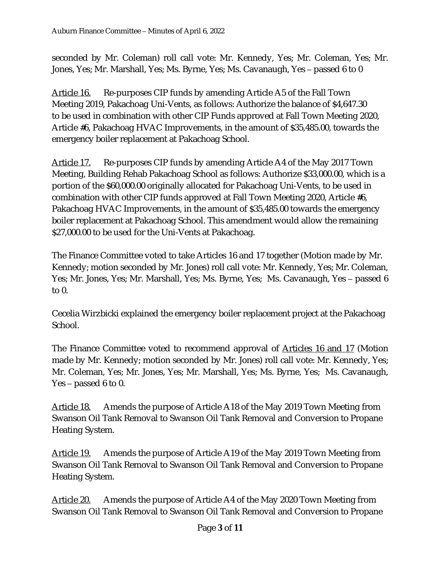seconded by Mr. Coleman) roll call vote: Mr. Kennedy, Yes; Mr. Coleman, Yes; Mr. Jones, Yes; Mr. Marshall, Yes; Ms. Byrne, Yes; Ms. Cavanaugh, Yes – passed 6 to 0

Article 16. Re-purposes CIP funds by amending Article A5 of the Fall Town Meeting 2019, Pakachoag Uni-Vents, as follows: Authorize the balance of \$4,647.30 to be used in combination with other CIP Funds approved at Fall Town Meeting 2020, Article #6, Pakachoag HVAC Improvements, in the amount of \$35,485.00, towards the emergency boiler replacement at Pakachoag School.

Article 17. Re-purposes CIP funds by amending Article A4 of the May 2017 Town Meeting, Building Rehab Pakachoag School as follows: Authorize \$33,000.00, which is a portion of the \$60,000.00 originally allocated for Pakachoag Uni-Vents, to be used in combination with other CIP funds approved at Fall Town Meeting 2020, Article #6, Pakachoag HVAC Improvements, in the amount of \$35,485.00 towards the emergency boiler replacement at Pakachoag School. This amendment would allow the remaining \$27,000.00 to be used for the Uni-Vents at Pakachoag.

The Finance Committee voted to take Articles 16 and 17 together (Motion made by Mr. Kennedy; motion seconded by Mr. Jones) roll call vote: Mr. Kennedy, Yes; Mr. Coleman, Yes; Mr. Jones, Yes; Mr. Marshall, Yes; Ms. Byrne, Yes; Ms. Cavanaugh, Yes – passed 6 to 0.

Cecelia Wirzbicki explained the emergency boiler replacement project at the Pakachoag School.

The Finance Committee voted to recommend approval of Articles 16 and 17 (Motion made by Mr. Kennedy; motion seconded by Mr. Jones) roll call vote: Mr. Kennedy, Yes; Mr. Coleman, Yes; Mr. Jones, Yes; Mr. Marshall, Yes; Ms. Byrne, Yes; Ms. Cavanaugh, Yes – passed 6 to 0.

Article 18. Amends the purpose of Article A18 of the May 2019 Town Meeting from Swanson Oil Tank Removal to Swanson Oil Tank Removal and Conversion to Propane Heating System.

Article 19. Amends the purpose of Article A19 of the May 2019 Town Meeting from Swanson Oil Tank Removal to Swanson Oil Tank Removal and Conversion to Propane Heating System.

Article 20. Amends the purpose of Article A4 of the May 2020 Town Meeting from Swanson Oil Tank Removal to Swanson Oil Tank Removal and Conversion to Propane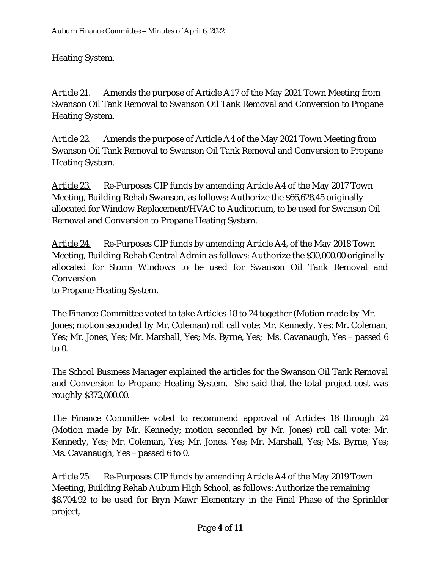Heating System.

Article 21. Amends the purpose of Article A17 of the May 2021 Town Meeting from Swanson Oil Tank Removal to Swanson Oil Tank Removal and Conversion to Propane Heating System.

Article 22. Amends the purpose of Article A4 of the May 2021 Town Meeting from Swanson Oil Tank Removal to Swanson Oil Tank Removal and Conversion to Propane Heating System.

Article 23. Re-Purposes CIP funds by amending Article A4 of the May 2017 Town Meeting, Building Rehab Swanson, as follows: Authorize the \$66,628.45 originally allocated for Window Replacement/HVAC to Auditorium, to be used for Swanson Oil Removal and Conversion to Propane Heating System.

Article 24. Re-Purposes CIP funds by amending Article A4, of the May 2018 Town Meeting, Building Rehab Central Admin as follows: Authorize the \$30,000.00 originally allocated for Storm Windows to be used for Swanson Oil Tank Removal and **Conversion** 

to Propane Heating System.

The Finance Committee voted to take Articles 18 to 24 together (Motion made by Mr. Jones; motion seconded by Mr. Coleman) roll call vote: Mr. Kennedy, Yes; Mr. Coleman, Yes; Mr. Jones, Yes; Mr. Marshall, Yes; Ms. Byrne, Yes; Ms. Cavanaugh, Yes – passed 6 to 0.

The School Business Manager explained the articles for the Swanson Oil Tank Removal and Conversion to Propane Heating System. She said that the total project cost was roughly \$372,000.00.

The Finance Committee voted to recommend approval of Articles 18 through 24 (Motion made by Mr. Kennedy; motion seconded by Mr. Jones) roll call vote: Mr. Kennedy, Yes; Mr. Coleman, Yes; Mr. Jones, Yes; Mr. Marshall, Yes; Ms. Byrne, Yes; Ms. Cavanaugh, Yes – passed 6 to 0.

Article 25. Re-Purposes CIP funds by amending Article A4 of the May 2019 Town Meeting, Building Rehab Auburn High School, as follows: Authorize the remaining \$8,704.92 to be used for Bryn Mawr Elementary in the Final Phase of the Sprinkler project,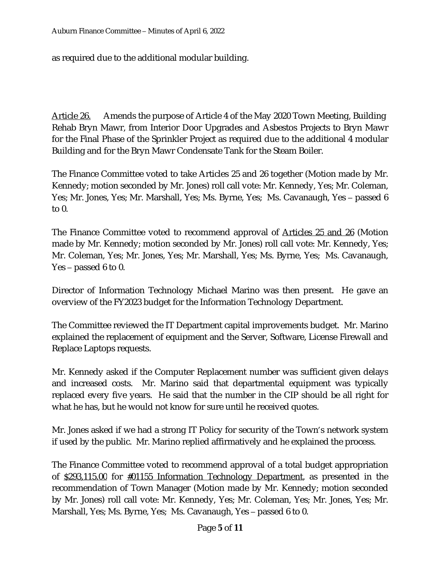as required due to the additional modular building.

Article 26. Amends the purpose of Article 4 of the May 2020 Town Meeting, Building Rehab Bryn Mawr, from Interior Door Upgrades and Asbestos Projects to Bryn Mawr for the Final Phase of the Sprinkler Project as required due to the additional 4 modular Building and for the Bryn Mawr Condensate Tank for the Steam Boiler.

The Finance Committee voted to take Articles 25 and 26 together (Motion made by Mr. Kennedy; motion seconded by Mr. Jones) roll call vote: Mr. Kennedy, Yes; Mr. Coleman, Yes; Mr. Jones, Yes; Mr. Marshall, Yes; Ms. Byrne, Yes; Ms. Cavanaugh, Yes – passed 6 to  $0<sub>l</sub>$ 

The Finance Committee voted to recommend approval of <u>Articles 25 and 26</u> (Motion made by Mr. Kennedy; motion seconded by Mr. Jones) roll call vote: Mr. Kennedy, Yes; Mr. Coleman, Yes; Mr. Jones, Yes; Mr. Marshall, Yes; Ms. Byrne, Yes; Ms. Cavanaugh, Yes – passed 6 to 0.

Director of Information Technology Michael Marino was then present. He gave an overview of the FY2023 budget for the Information Technology Department.

The Committee reviewed the IT Department capital improvements budget. Mr. Marino explained the replacement of equipment and the Server, Software, License Firewall and Replace Laptops requests.

Mr. Kennedy asked if the Computer Replacement number was sufficient given delays and increased costs. Mr. Marino said that departmental equipment was typically replaced every five years. He said that the number in the CIP should be all right for what he has, but he would not know for sure until he received quotes.

Mr. Jones asked if we had a strong IT Policy for security of the Town's network system if used by the public. Mr. Marino replied affirmatively and he explained the process.

The Finance Committee voted to recommend approval of a total budget appropriation of \$293,115.00 for #01155 Information Technology Department, as presented in the recommendation of Town Manager (Motion made by Mr. Kennedy; motion seconded by Mr. Jones) roll call vote: Mr. Kennedy, Yes; Mr. Coleman, Yes; Mr. Jones, Yes; Mr. Marshall, Yes; Ms. Byrne, Yes; Ms. Cavanaugh, Yes – passed 6 to 0.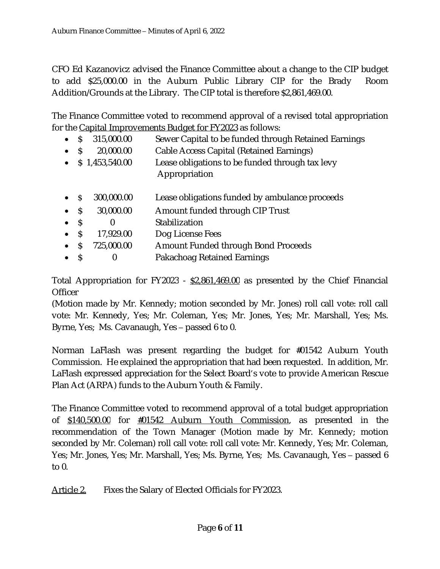CFO Ed Kazanovicz advised the Finance Committee about a change to the CIP budget to add \$25,000.00 in the Auburn Public Library CIP for the Brady Room Addition/Grounds at the Library. The CIP total is therefore \$2,861,469.00.

The Finance Committee voted to recommend approval of a revised total appropriation for the Capital Improvements Budget for FY2023 as follows:

- \$ 315,000.00 Sewer Capital to be funded through Retained Earnings
- \$ 20,000.00 Cable Access Capital (Retained Earnings)
- \$ 1,453,540.00 Lease obligations to be funded through tax levy Appropriation
- \$ 300,000.00 Lease obligations funded by ambulance proceeds
- \$ 30,000.00 Amount funded through CIP Trust
- \$ 0 Stabilization
- S 17,929.00 Dog License Fees
- \$ 725,000.00 Amount Funded through Bond Proceeds
- \$ 0 Pakachoag Retained Earnings

Total Appropriation for FY2023 -  $$2,861,469.00$  as presented by the Chief Financial **Officer** 

(Motion made by Mr. Kennedy; motion seconded by Mr. Jones) roll call vote: roll call vote: Mr. Kennedy, Yes; Mr. Coleman, Yes; Mr. Jones, Yes; Mr. Marshall, Yes; Ms. Byrne, Yes; Ms. Cavanaugh, Yes – passed 6 to 0.

Norman LaFlash was present regarding the budget for #01542 Auburn Youth Commission. He explained the appropriation that had been requested. In addition, Mr. LaFlash expressed appreciation for the Select Board's vote to provide American Rescue Plan Act (ARPA) funds to the Auburn Youth & Family.

The Finance Committee voted to recommend approval of a total budget appropriation of \$140,500.00 for #01542 Auburn Youth Commission, as presented in the recommendation of the Town Manager (Motion made by Mr. Kennedy; motion seconded by Mr. Coleman) roll call vote: roll call vote: Mr. Kennedy, Yes; Mr. Coleman, Yes; Mr. Jones, Yes; Mr. Marshall, Yes; Ms. Byrne, Yes; Ms. Cavanaugh, Yes – passed 6 to 0.

Article 2. Fixes the Salary of Elected Officials for FY2023.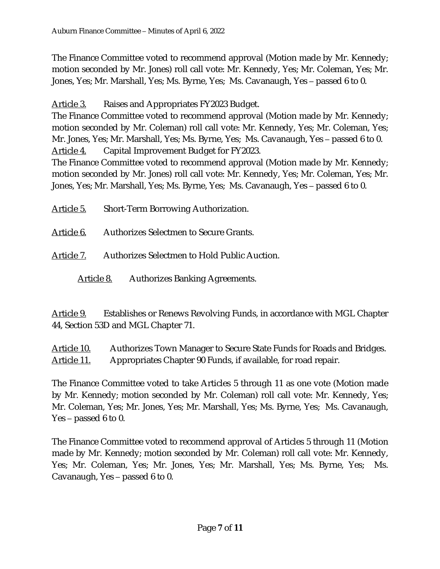The Finance Committee voted to recommend approval (Motion made by Mr. Kennedy; motion seconded by Mr. Jones) roll call vote: Mr. Kennedy, Yes; Mr. Coleman, Yes; Mr. Jones, Yes; Mr. Marshall, Yes; Ms. Byrne, Yes; Ms. Cavanaugh, Yes – passed 6 to 0.

Article 3. Raises and Appropriates FY2023 Budget.

The Finance Committee voted to recommend approval (Motion made by Mr. Kennedy; motion seconded by Mr. Coleman) roll call vote: Mr. Kennedy, Yes; Mr. Coleman, Yes; Mr. Jones, Yes; Mr. Marshall, Yes; Ms. Byrne, Yes; Ms. Cavanaugh, Yes – passed 6 to 0. Article 4. Capital Improvement Budget for FY2023.

The Finance Committee voted to recommend approval (Motion made by Mr. Kennedy; motion seconded by Mr. Jones) roll call vote: Mr. Kennedy, Yes; Mr. Coleman, Yes; Mr. Jones, Yes; Mr. Marshall, Yes; Ms. Byrne, Yes; Ms. Cavanaugh, Yes – passed 6 to 0.

Article 5. Short-Term Borrowing Authorization.

Article 6. Authorizes Selectmen to Secure Grants.

Article 7. Authorizes Selectmen to Hold Public Auction.

Article 8. Authorizes Banking Agreements.

Article 9. Establishes or Renews Revolving Funds, in accordance with MGL Chapter 44, Section 53D and MGL Chapter 71.

Article 10. Authorizes Town Manager to Secure State Funds for Roads and Bridges. Article 11. Appropriates Chapter 90 Funds, if available, for road repair.

The Finance Committee voted to take Articles 5 through 11 as one vote (Motion made by Mr. Kennedy; motion seconded by Mr. Coleman) roll call vote: Mr. Kennedy, Yes; Mr. Coleman, Yes; Mr. Jones, Yes; Mr. Marshall, Yes; Ms. Byrne, Yes; Ms. Cavanaugh, Yes – passed 6 to 0.

The Finance Committee voted to recommend approval of Articles 5 through 11 (Motion made by Mr. Kennedy; motion seconded by Mr. Coleman) roll call vote: Mr. Kennedy, Yes; Mr. Coleman, Yes; Mr. Jones, Yes; Mr. Marshall, Yes; Ms. Byrne, Yes; Ms. Cavanaugh, Yes – passed 6 to 0.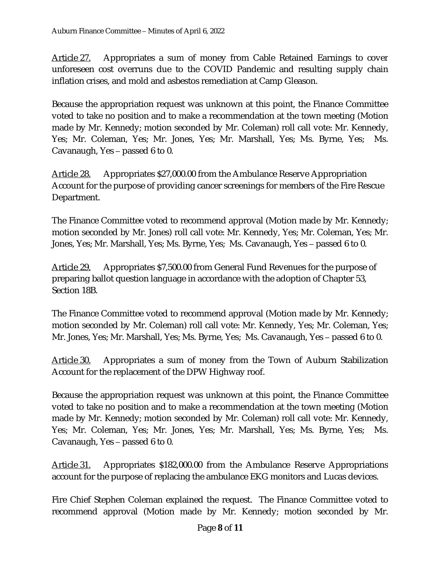Article 27. Appropriates a sum of money from Cable Retained Earnings to cover unforeseen cost overruns due to the COVID Pandemic and resulting supply chain inflation crises, and mold and asbestos remediation at Camp Gleason.

Because the appropriation request was unknown at this point, the Finance Committee voted to take no position and to make a recommendation at the town meeting (Motion made by Mr. Kennedy; motion seconded by Mr. Coleman) roll call vote: Mr. Kennedy, Yes; Mr. Coleman, Yes; Mr. Jones, Yes; Mr. Marshall, Yes; Ms. Byrne, Yes; Ms. Cavanaugh, Yes – passed 6 to 0.

Article 28. Appropriates \$27,000.00 from the Ambulance Reserve Appropriation Account for the purpose of providing cancer screenings for members of the Fire Rescue Department.

The Finance Committee voted to recommend approval (Motion made by Mr. Kennedy; motion seconded by Mr. Jones) roll call vote: Mr. Kennedy, Yes; Mr. Coleman, Yes; Mr. Jones, Yes; Mr. Marshall, Yes; Ms. Byrne, Yes; Ms. Cavanaugh, Yes – passed 6 to 0.

Article 29. Appropriates \$7,500.00 from General Fund Revenues for the purpose of preparing ballot question language in accordance with the adoption of Chapter 53, Section 18B.

The Finance Committee voted to recommend approval (Motion made by Mr. Kennedy; motion seconded by Mr. Coleman) roll call vote: Mr. Kennedy, Yes; Mr. Coleman, Yes; Mr. Jones, Yes; Mr. Marshall, Yes; Ms. Byrne, Yes; Ms. Cavanaugh, Yes – passed 6 to 0.

Article 30. Appropriates a sum of money from the Town of Auburn Stabilization Account for the replacement of the DPW Highway roof.

Because the appropriation request was unknown at this point, the Finance Committee voted to take no position and to make a recommendation at the town meeting (Motion made by Mr. Kennedy; motion seconded by Mr. Coleman) roll call vote: Mr. Kennedy, Yes; Mr. Coleman, Yes; Mr. Jones, Yes; Mr. Marshall, Yes; Ms. Byrne, Yes; Ms. Cavanaugh, Yes – passed 6 to 0.

Article 31. Appropriates \$182,000.00 from the Ambulance Reserve Appropriations account for the purpose of replacing the ambulance EKG monitors and Lucas devices.

Fire Chief Stephen Coleman explained the request. The Finance Committee voted to recommend approval (Motion made by Mr. Kennedy; motion seconded by Mr.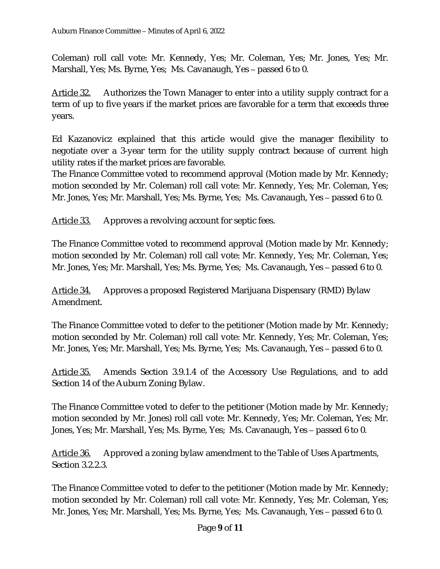Coleman) roll call vote: Mr. Kennedy, Yes; Mr. Coleman, Yes; Mr. Jones, Yes; Mr. Marshall, Yes; Ms. Byrne, Yes; Ms. Cavanaugh, Yes – passed 6 to 0.

Article 32. Authorizes the Town Manager to enter into a utility supply contract for a term of up to five years if the market prices are favorable for a term that exceeds three years.

Ed Kazanovicz explained that this article would give the manager flexibility to negotiate over a 3-year term for the utility supply contract because of current high utility rates if the market prices are favorable.

The Finance Committee voted to recommend approval (Motion made by Mr. Kennedy; motion seconded by Mr. Coleman) roll call vote: Mr. Kennedy, Yes; Mr. Coleman, Yes; Mr. Jones, Yes; Mr. Marshall, Yes; Ms. Byrne, Yes; Ms. Cavanaugh, Yes – passed 6 to 0.

Article 33. Approves a revolving account for septic fees.

The Finance Committee voted to recommend approval (Motion made by Mr. Kennedy; motion seconded by Mr. Coleman) roll call vote: Mr. Kennedy, Yes; Mr. Coleman, Yes; Mr. Jones, Yes; Mr. Marshall, Yes; Ms. Byrne, Yes; Ms. Cavanaugh, Yes – passed 6 to 0.

Article 34. Approves a proposed Registered Marijuana Dispensary (RMD) Bylaw Amendment.

The Finance Committee voted to defer to the petitioner (Motion made by Mr. Kennedy; motion seconded by Mr. Coleman) roll call vote: Mr. Kennedy, Yes; Mr. Coleman, Yes; Mr. Jones, Yes; Mr. Marshall, Yes; Ms. Byrne, Yes; Ms. Cavanaugh, Yes – passed 6 to 0.

Article 35. Amends Section 3.9.1.4 of the Accessory Use Regulations, and to add Section 14 of the Auburn Zoning Bylaw.

The Finance Committee voted to defer to the petitioner (Motion made by Mr. Kennedy; motion seconded by Mr. Jones) roll call vote: Mr. Kennedy, Yes; Mr. Coleman, Yes; Mr. Jones, Yes; Mr. Marshall, Yes; Ms. Byrne, Yes; Ms. Cavanaugh, Yes – passed 6 to 0.

Article 36. Approved a zoning bylaw amendment to the Table of Uses Apartments, Section 3.2.2.3.

The Finance Committee voted to defer to the petitioner (Motion made by Mr. Kennedy; motion seconded by Mr. Coleman) roll call vote: Mr. Kennedy, Yes; Mr. Coleman, Yes; Mr. Jones, Yes; Mr. Marshall, Yes; Ms. Byrne, Yes; Ms. Cavanaugh, Yes – passed 6 to 0.

#### Page **9** of **11**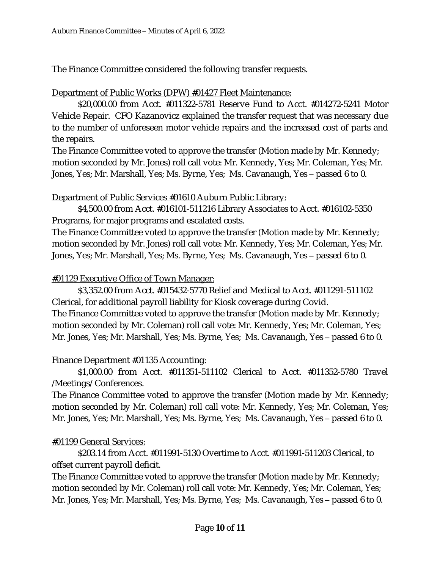The Finance Committee considered the following transfer requests.

#### Department of Public Works (DPW) #01427 Fleet Maintenance:

\$20,000.00 from Acct. #011322-5781 Reserve Fund to Acct. #014272-5241 Motor Vehicle Repair. CFO Kazanovicz explained the transfer request that was necessary due to the number of unforeseen motor vehicle repairs and the increased cost of parts and the repairs.

The Finance Committee voted to approve the transfer (Motion made by Mr. Kennedy; motion seconded by Mr. Jones) roll call vote: Mr. Kennedy, Yes; Mr. Coleman, Yes; Mr. Jones, Yes; Mr. Marshall, Yes; Ms. Byrne, Yes; Ms. Cavanaugh, Yes – passed 6 to 0.

## Department of Public Services #01610 Auburn Public Library:

\$4,500.00 from Acct. #016101-511216 Library Associates to Acct. #016102-5350 Programs, for major programs and escalated costs.

The Finance Committee voted to approve the transfer (Motion made by Mr. Kennedy; motion seconded by Mr. Jones) roll call vote: Mr. Kennedy, Yes; Mr. Coleman, Yes; Mr. Jones, Yes; Mr. Marshall, Yes; Ms. Byrne, Yes; Ms. Cavanaugh, Yes – passed 6 to 0.

## #01129 Executive Office of Town Manager:

\$3,352.00 from Acct. #015432-5770 Relief and Medical to Acct. #011291-511102 Clerical, for additional payroll liability for Kiosk coverage during Covid. The Finance Committee voted to approve the transfer (Motion made by Mr. Kennedy; motion seconded by Mr. Coleman) roll call vote: Mr. Kennedy, Yes; Mr. Coleman, Yes; Mr. Jones, Yes; Mr. Marshall, Yes; Ms. Byrne, Yes; Ms. Cavanaugh, Yes – passed 6 to 0.

# Finance Department #01135 Accounting:

\$1,000.00 from Acct. #011351-511102 Clerical to Acct. #011352-5780 Travel /Meetings/ Conferences.

The Finance Committee voted to approve the transfer (Motion made by Mr. Kennedy; motion seconded by Mr. Coleman) roll call vote: Mr. Kennedy, Yes; Mr. Coleman, Yes; Mr. Jones, Yes; Mr. Marshall, Yes; Ms. Byrne, Yes; Ms. Cavanaugh, Yes – passed 6 to 0.

# #01199 General Services:

\$203.14 from Acct. #011991-5130 Overtime to Acct. #011991-511203 Clerical, to offset current payroll deficit.

The Finance Committee voted to approve the transfer (Motion made by Mr. Kennedy; motion seconded by Mr. Coleman) roll call vote: Mr. Kennedy, Yes; Mr. Coleman, Yes; Mr. Jones, Yes; Mr. Marshall, Yes; Ms. Byrne, Yes; Ms. Cavanaugh, Yes – passed 6 to 0.